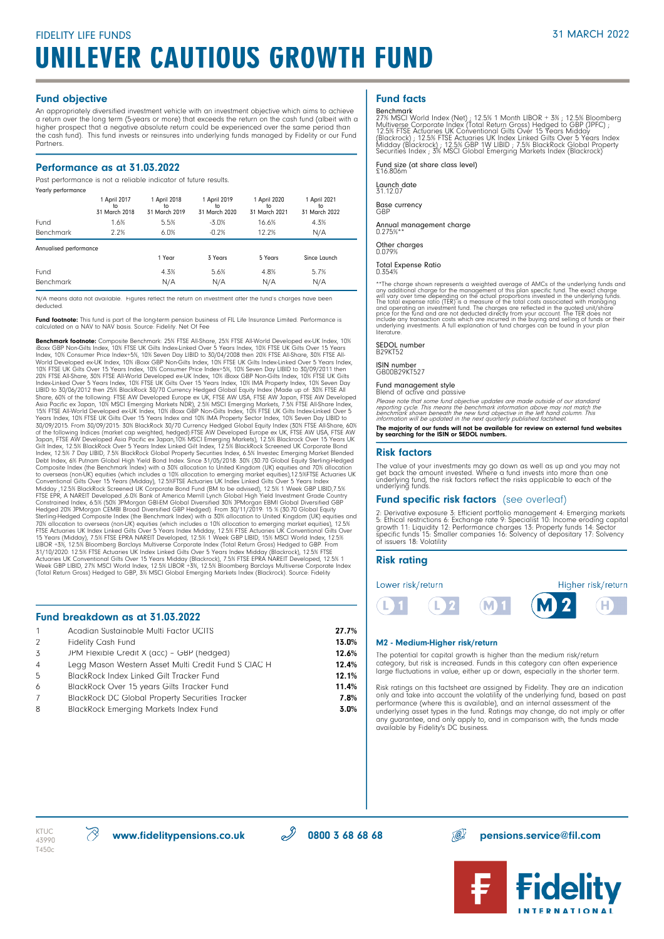#### Fund objective

An appropriately diversified investment vehicle with an investment objective which aims to achieve a return over the long term (5-years or more) that exceeds the return on the cash fund (albeit with a higher prospect that a negative absolute return could be experienced over the same period than the cash fund). This fund invests or reinsures into underlying funds managed by Fidelity or our Fund **Partners** 

#### Performance as at 31.03.2022

Past performance is not a reliable indicator of future results.

| Yearly performance     |                                     |                                     |                                     |                                     |                                     |  |
|------------------------|-------------------------------------|-------------------------------------|-------------------------------------|-------------------------------------|-------------------------------------|--|
|                        | 1 April 2017<br>to<br>31 March 2018 | 1 April 2018<br>to<br>31 March 2019 | 1 April 2019<br>to<br>31 March 2020 | 1 April 2020<br>to<br>31 March 2021 | 1 April 2021<br>to<br>31 March 2022 |  |
| Fund                   | 1.6%                                | 5.5%                                | $-3.0%$                             | 16.6%                               | 4.3%                                |  |
| Benchmark              | 2.2%                                | 6.0%                                | $-0.2%$                             | 12.2%                               | N/A                                 |  |
| Annualised performance |                                     |                                     |                                     |                                     |                                     |  |
|                        |                                     | 1 Year                              | 3 Years                             | 5 Years                             | Since Launch                        |  |
|                        |                                     |                                     |                                     |                                     |                                     |  |
| Fund                   |                                     | 4.3%                                | 5.6%                                | 4.8%                                | 5.7%                                |  |

N/A means data not available. Figures reflect the return on investment after the fund's charges have been deducted.

Fund footnote: This fund is part of the long-term pension business of FIL Life Insurance Limited. Performance is calculated on a NAV to NAV basis. Source: Fidelity. Net Of Fee

**Benchmark footnote:** Composite Benchmark: 25% FTSE All-Share, 25% FTSE All-World Developed ex-UK Index, 10%<br>iBoxx GBP Non-Gilts Index, 10% FTSE UK Gilts Index-Linked Over 5 Years Index, 10% FTSE UK Gilts Over 15 Years<br>Ind World Developed ex-UK Index, 10% iBoxx GBP Non-Gills Index, 10% FISE UK Gills Index-Linked Over 5 Years Index,<br>10% FTSE UK Gills Over 15 Years Index, 10% Consumer Price Index+5%, 10% Seven Day LIBID to 30/09/2011 then<br>20% to overseas (non-UK) equities (which includes a 10% allocation to emerging market equities),12.5%FTSE Actuaries UK<br>Conventional Gilts Over 15 Years (Midday), 12.5%FTSE Actuaries UK Index Linked Gilts Over 5 Years Index<br>Mid Constrained Index, 6.5% (50% JPMorgan GBIEM Global Diversified 30% JPMorgan EBMI Global Diversified GEP Hedged). From 30/11/2019: 15 % (30:70 Global Equity<br>Sterling-Hedged Composite Index (the Benchmark Index) with a 30% a

### Fund breakdown as at 31.03.2022

|                | Acadian Sustainable Multi Factor UCITS                 | 27.7% |
|----------------|--------------------------------------------------------|-------|
| 2              | <b>Fidelity Cash Fund</b>                              | 13.0% |
| -3             | JPM Flexible Credit X (acc) - GBP (hedged)             | 12.6% |
| $\overline{4}$ | Legg Mason Western Asset Multi Credit Fund S CIAC H    | 12.4% |
| -5             | <b>BlackRock Index Linked Gilt Tracker Fund</b>        | 12.1% |
| 6              | BlackRock Over 15 years Gilts Tracker Fund             | 11.4% |
| 7              | <b>BlackRock DC Global Property Securities Tracker</b> | 7.8%  |
| 8              | <b>BlackRock Emerging Markets Index Fund</b>           | 3.0%  |
|                |                                                        |       |

## Fund facts

Benchmark<br>27% MSCI World Index (Net) ; 12.5% 1 Month LIBOR + 3% ; 12.5% Bloomberg<br>Multiverse Corporate Index (Total Return Gross) Hedged to GBP (JPFC) ;<br>12.5% FTSE Actuaries UK Conventional Gilts Over 15 Years Midday<br>(Blac

Fund size (at share class level) £16.806m

Launch date 31.12.07

Base currency  $C<sub>BC</sub>$ 

Annual management charge 0.275%\*\*

Other charges 0.079%

#### Total Expense Ratio 0.354%

\*\*The charge shown represents a weighted average of AMCs of the underlying funds and<br>any additional charge for the management of this plan specific fund. The exact charge<br>will vary over time depending on the actual proport literature.

SEDOL number B29KT52

ISIN number GB00B29KT527

Fund management style Blend of active and passive

Please note that some fund objective updates are made outside of our standard<br>reporting cycle. This means the benchmark information above may not match the<br>benchmark shown beneath the new fund objective in the left hand co

The majority of our funds will not be available for review on external fund websites by searching for the ISIN or SEDOL numbers.

#### Risk factors

The value of your investments may go down as well as up and you may not<br>get back the amount invested. Where a fund invests into more than one<br>underlying fund, the risk factors reflect the risks applicable to each of the<br>un

#### Fund specific risk factors (see overleaf)

2: Derivative exposure 3: Efficient portfolio management 4: Emerging markets 5: Ethical restrictions 6: Exchange rate 9: Specialist 10: Income eroding capital growth 11: Liquidity 12: Performance charges 13: Property funds 14: Sector specific funds 15: Smaller companies 16: Solvency of depositary 17: Solvency of issuers 18: Volatility

#### Risk rating

#### Lower risk/return



Higher risk/return

#### M2 - Medium-Higher risk/return

The potential for capital growth is higher than the medium risk/return category, but risk is increased. Funds in this category can often experience large fluctuations in value, either up or down, especially in the shorter term.

Risk ratings on this factsheet are assigned by Fidelity. They are an indication only and take into account the volatility of the underlying fund, based on past performance (where this is available), and an internal assessm

43990 T450c

 $\text{WFC} \quad \text{W} \quad \text{W}$ www.fidelitypensions.co.uk  $\text{W} \quad \text{W}$  0800 3 68 68 68 pensions.service@fil.com



**Fidelity**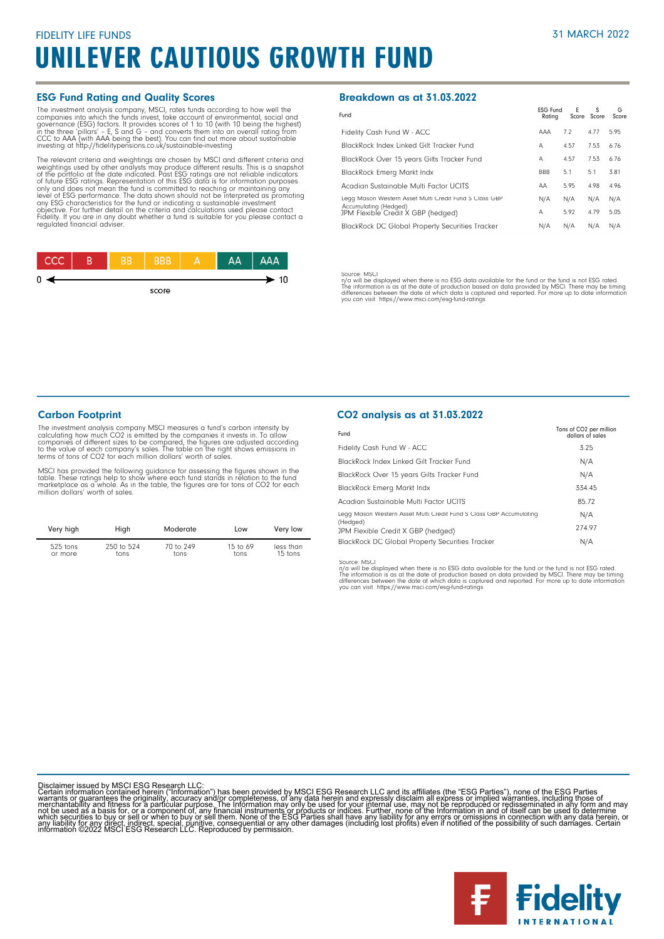#### ESG Fund Rating and Quality Scores

The investment analysis company, MSCI, rates funds according to how well the gompanies into which the funds invest, take account of environmental, social and governance (ESG) factors. It provides scores of 1 to 10 (with 10

The relevant criteria and weightings are chosen by MSCI and different criteria and weightings used by other analysts may produce different results. This is a snapshot<br>of the portfolio at the date indicated. Past ESG ratings are not reliable indicators<br>of tuture ESG ratings. Representation of this ESG dat Fidelity. If you are in any doubt whether a fund is suitable for you please contact a regulated financial adviser.

| ccc |  |       | AA | <b>AAA</b> |
|-----|--|-------|----|------------|
| 0   |  |       |    | 10         |
|     |  |       |    |            |
|     |  | score |    |            |

#### Breakdown as at 31.03.2022

| Fund                                                        | <b>ESG Fund</b><br>Ratina | E    | s<br>Score Score | G<br>Score |
|-------------------------------------------------------------|---------------------------|------|------------------|------------|
| Fidelity Cash Fund W - ACC                                  | AAA                       | 7.2  | 4.77             | 5.95       |
| BlackRock Index Linked Gilt Tracker Fund                    | А                         | 4.57 | 7.53             | 6.76       |
| BlackRock Over 15 years Gilts Tracker Fund                  | А                         | 4.57 | 7.53             | 6.76       |
| <b>BlackRock Emerg Markt Indx</b>                           | <b>BBB</b>                | 5.1  | 5.1              | 3.81       |
| Acadian Sustainable Multi Factor UCITS                      | AA                        | 5.95 | 4.98             | 4.96       |
| Legg Mason Western Asset Multi Credit Fund S Class GBP      | N/A                       | N/A  | N/A              | N/A        |
| Accumulating (Hedged)<br>JPM Flexible Credit X GBP (hedged) | А                         | 5.92 | 4.79             | 5.05       |
| <b>BlackRock DC Global Property Securities Tracker</b>      | N/A                       | N/A  | N/A              | N/A        |

Source: MSCl<br>The will be displayed when there is no ESG data available for the fund or the fund is not ESG rated.<br>The information is as at the date of production based on data provided by MSCl. There may be timing<br>differen

#### Carbon Footprint

The investment analysis company MSCI measures a fund's carbon intensity by<br>calculating how much CO2 is emitted by the companies it invests in. To allow<br>companies of different sizes to be compared, the figures are adjusted terms of tons of CO2 for each million dollars' worth of sales.

MSCI has provided the following guidance for assessing the figures shown in the<br>table. These ratings help to show where each fund stands in relation to the fund<br>marketplace as a whole. As in the table, the figures are for million dollars' worth of sales.

| Very high  | High       | Moderate  | Low        | Very low  |
|------------|------------|-----------|------------|-----------|
| $525$ tons | 250 to 524 | 70 to 249 | 15 to $69$ | less than |
| or more    | tons       | tons      | tons       | 15 tons   |

#### CO2 analysis as at 31.03.2022

| Fund                                                                | Tons of CO2 per million<br>dollars of sales |
|---------------------------------------------------------------------|---------------------------------------------|
| Fidelity Cash Fund W - ACC                                          | 3.25                                        |
| BlackRock Index Linked Gilt Tracker Fund                            | N/A                                         |
| BlackRock Over 15 years Gilts Tracker Fund                          | N/A                                         |
| BlackRock Emerg Markt Indx                                          | 334.45                                      |
| Acadian Sustainable Multi Factor UCITS                              | 85.72                                       |
| Legg Mason Western Asset Multi Credit Fund S Class GBP Accumulating | N/A                                         |
| (Hedged)<br>JPM Flexible Credit X GBP (hedged)                      | 274.97                                      |
| <b>BlackRock DC Global Property Securities Tracker</b>              | N/A                                         |

Source: MSCI<br>n/a will be displayed when there is no ESG data available for the fund or the fund is not ESG rated.<br>The information is as at the date of production based on data provided by MSCI. There may be timing<br>differen you can visit https://www.msci.com/esg-fund-ratings

Disclaimer issued by MSCI ESG Research LLC:<br>Certain information contained herein ("Information") has been provided by MSCI ESG Research LLC and its affiliates (the "ESG Parties"), none of the ESG Parties<br>Certain informatio

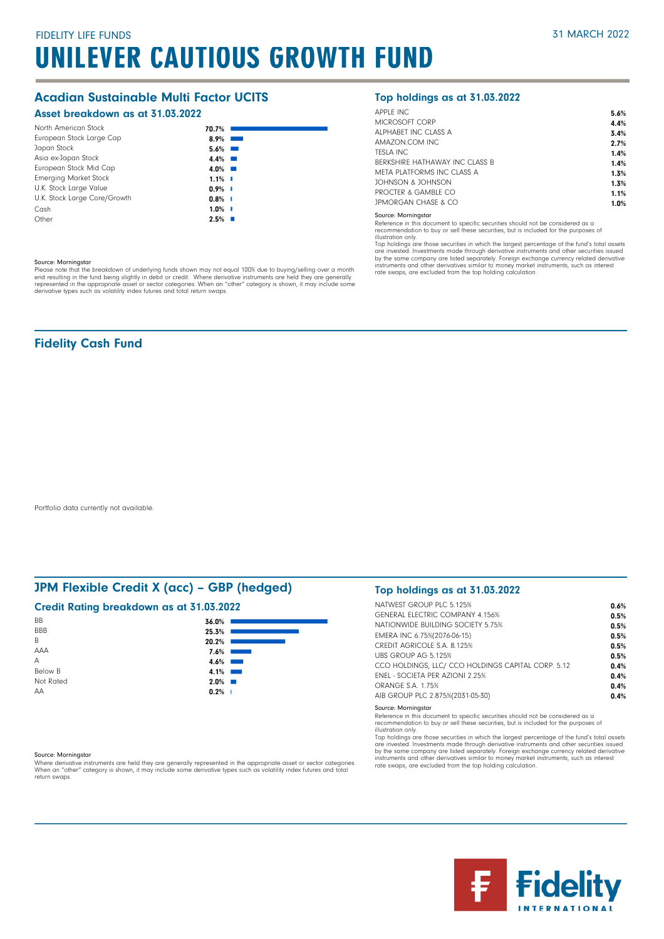## Acadian Sustainable Multi Factor UCITS

### Asset breakdown as at 31.03.2022

| North American Stock         | 70.7%     |  |
|------------------------------|-----------|--|
| European Stock Large Cap     | $8.9\%$   |  |
| Japan Stock                  | $5.6\%$   |  |
| Asia ex-Japan Stock          | $4.4\%$   |  |
| European Stock Mid Cap       | $4.0\%$   |  |
| <b>Emerging Market Stock</b> | $1.1\%$   |  |
| U.K. Stock Large Value       | $0.9\%$ I |  |
| U.K. Stock Large Core/Growth | $0.8\%$ I |  |
| Cash                         | $1.0\%$ I |  |
| Other                        | $2.5%$ I  |  |

#### Source: Morningstar

Please note that the breakdown of underlying funds shown may not equal 100% due to buying/selling over a month<br>end resulting in the fund being slightly in debit or credit. Where derivative instruments are held they are gen

## Fidelity Cash Fund

Portfolio data currently not available.

## JPM Flexible Credit X (acc) – GBP (hedged)

### Credit Rating breakdown as at 31.03.2022

| BB             | 36.0%                                                                                                                         |
|----------------|-------------------------------------------------------------------------------------------------------------------------------|
| <b>BBB</b>     | 25.3%                                                                                                                         |
| B              | 20.2%                                                                                                                         |
| AAA            | 7.6%                                                                                                                          |
| Α              | 4.6%<br><b>Contract Contract Contract Contract Contract Contract Contract Contract Contract Contract Contract Contract Co</b> |
| <b>Below B</b> | 4.1%<br><b>Contract Contract Contract</b>                                                                                     |
| Not Rated      | $2.0\%$                                                                                                                       |
| AA             | $0.2%$                                                                                                                        |
|                |                                                                                                                               |

#### Source: Morningstar

Where derivative instruments are held they are generally represented in the appropriate asset or sector categories.<br>When an "other" category is shown, it may include some derivative types such as volatility index futures a return swaps.

## Top holdings as at 31.03.2022

| <b>APPLE INC</b>               | 5.6% |
|--------------------------------|------|
| MICROSOFT CORP                 | 4.4% |
| ALPHARFT INC CLASS A           | 3.4% |
| AMAZON.COM INC.                | 2.7% |
| <b>TESLA INC.</b>              | 1.4% |
| BERKSHIRE HATHAWAY INC CLASS B | 1.4% |
| META PLATEORMS INC CLASS A     | 1.3% |
| JOHNSON & JOHNSON              | 1.3% |
| PROCTER & GAMBLE CO            | 1.1% |
| JPMORGAN CHASE & CO            | 1.0% |
|                                |      |

#### Source: Morningstar

Reference in this document to specific securities should not be considered as a recommendation to buy or sell these securities, but is included for the purposes of

illustration only.

Top holdings are those securities in which the largest percentage of the fund's total assets are invested. Investments made through derivative instruments and other securities issued by the same company are listed separately. Foreign exchange currency related derivative<br>instruments and other derivatives similar to money market instruments, such as interest<br>rate swaps, are excluded from the top holding

### Top holdings as at 31.03.2022

| NATWEST GROUP PLC 5.125%                           | 0.6% |
|----------------------------------------------------|------|
| <b>GENERAL ELECTRIC COMPANY 4.156%</b>             | 0.5% |
| NATIONWIDE BUILDING SOCIETY 5.75%                  | 0.5% |
| EMERA INC 6.75%(2076-06-15)                        | 0.5% |
| CREDIT AGRICOLE S.A. 8.125%                        | 0.5% |
| UBS GROUP AG 5.125%                                | 0.5% |
| CCO HOLDINGS. LLC/ CCO HOLDINGS CAPITAL CORP. 5.12 | 0.4% |
| <b>FNEL - SOCIFTA PER AZIONI 2.25%</b>             | 0.4% |
| ORANGE S.A. 1.75%                                  | 0.4% |
| AIB GROUP PLC 2.875%(2031-05-30)                   | 0.4% |
|                                                    |      |

Source: Morningstar

Reference in this document to specific securities should not be considered as a recommendation to buy or sell these securities, but is included for the purposes of

illustration only.

Top holdings are those securities in which the largest percentage of the fund's total assets are invested. Investments made through derivative instruments and other securities issued<br>by the same company are listed separately. Foreign exchange currency related derivative<br>instruments and other derivatives similar to rate swaps, are excluded from the top holding calculation.

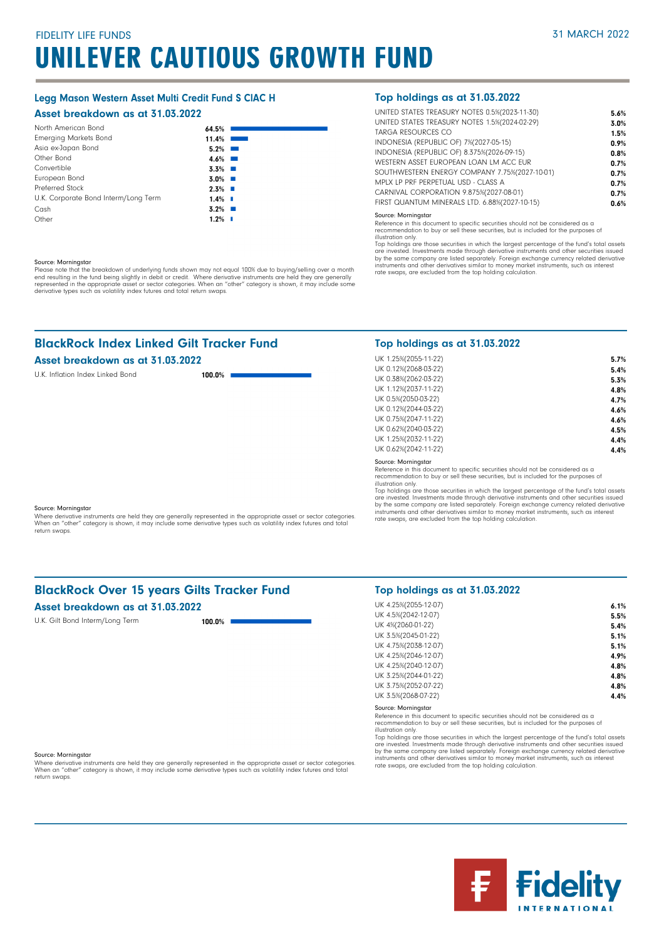## Legg Mason Western Asset Multi Credit Fund S ClAC H

#### Asset breakdown as at 31.03.2022

| North American Bond                  | 64.5%                  |                                   |
|--------------------------------------|------------------------|-----------------------------------|
| <b>Emerging Markets Bond</b>         | 11.4%                  |                                   |
| Asia ex-Japan Bond                   | 5.2%                   | <b>Contract Contract Contract</b> |
| Other Bond                           | $4.6\%$                |                                   |
| Convertible                          | $3.3\%$                |                                   |
| European Bond                        | $3.0\%$ $\blacksquare$ |                                   |
| Preferred Stock                      | $2.3\%$ $\blacksquare$ |                                   |
| U.K. Corporate Bond Interm/Long Term | $1.4\%$ $\blacksquare$ |                                   |
| Cash                                 | $3.2\%$                |                                   |
| Other                                | $1.2\%$                | - 11                              |

#### Source: Morningstar

Please note that the breakdown of underlying funds shown may not equal 100% due to buying/selling over a month<br>end resulting in the fund being slightly in debit or credit. Where derivative instruments are held they are gen

## BlackRock Index Linked Gilt Tracker Fund

## Asset breakdown as at 31.03.202

U.K. Inflation Index Linked Bond

| 22     |  |
|--------|--|
| 100.0% |  |

#### Top holdings as at 31.03.2022

| UNITED STATES TREASURY NOTES 0.5%(2023-11-30) | 5.6% |
|-----------------------------------------------|------|
| UNITED STATES TREASURY NOTES 1.5%(2024-02-29) | 3.0% |
| TARGA RESOURCES CO                            | 1.5% |
| INDONESIA (REPUBLIC OF) 7%(2027-05-15)        | 0.9% |
| INDONESIA (REPUBLIC OF) 8.375%(2026-09-15)    | 0.8% |
| WESTERN ASSET FUROPEAN LOAN LM ACC FUR        | 0.7% |
| SOUTHWESTERN ENERGY COMPANY 7.75%(2027-10-01) | 0.7% |
| MPLX LP PRF PERPETUAL USD - CLASS A           | 0.7% |
| CARNIVAL CORPORATION 9.875%(2027-08-01)       | 0.7% |
| FIRST QUANTUM MINERALS LTD. 6.88%(2027-10-15) | 0.6% |
|                                               |      |

#### Source: Morningstar

Reference in this document to specific securities should not be considered as a recommendation to buy or sell these securities, but is included for the purposes of illustration only.

Top holdings are those securities in which the largest percentage of the fund's total assets are invested. Investments made through derivative instruments and other securities issued by the same company are listed separately. Foreign exchange currency related derivative<br>instruments and other derivatives similar to money market instruments, such as interest<br>rate swaps, are excluded from the top holding

## Top holdings as at 31.03.2022

| UK 1.25%(2055-11-22) | 5.7% |
|----------------------|------|
| UK 0.12%(2068-03-22) | 5.4% |
| UK 0.38%(2062-03-22) | 5.3% |
| UK 1.12%(2037-11-22) | 4.8% |
| UK 0.5%(2050-03-22)  | 4.7% |
| UK 0.12%(2044-03-22) | 4.6% |
| UK 0.75%(2047-11-22) | 4.6% |
| UK 0.62%(2040-03-22) | 4.5% |
| UK 1.25%(2032-11-22) | 4.4% |
| UK 0.62%(2042-11-22) | 4.4% |
|                      |      |

#### Source: Morningstar

Reference in this document to specific securities should not be considered as a recommendation to buy or sell these securities, but is included for the purposes of illustration only.

Top holdings are those securities in which the largest percentage of the fund's total assets<br>are invested. Investments made through derivative instruments and other securities issued<br>by the same company are listed separate instruments and other derivatives similar to money market instruments, such as interest rate swaps, are excluded from the top holding calculation.

#### Source: Morningstar

Where derivative instruments are held they are generally represented in the appropriate asset or sector categories. When an "other" category is shown, it may include some derivative types such as volatility index futures and total return swaps.

## BlackRock Over 15 years Gilts Tracker Fund

## Asset breakdown as at 31.03.2022

U.K. Gilt Bond Interm/Long Term 100.0%

#### Top holdings as at 31.03.2022

| UK 4.25%(2055-12-07)<br>6.1%<br>UK 4.5%(2042-12-07)<br>5.5%<br>UK 4%(2060-01-22)<br>5.4%<br>UK 3.5%(2045-01-22)<br>5.1%<br>UK 4.75%(2038-12-07)<br>5.1%<br>UK 4.25%(2046-12-07)<br>4.9%<br>UK 4.25%(2040-12-07)<br>4.8%<br>UK 3.25%(2044-01-22)<br>4.8%<br>UK 3.75%(2052-07-22)<br>4.8%<br>UK 3.5%(2068-07-22)<br>4.4% |  |
|------------------------------------------------------------------------------------------------------------------------------------------------------------------------------------------------------------------------------------------------------------------------------------------------------------------------|--|
|                                                                                                                                                                                                                                                                                                                        |  |
|                                                                                                                                                                                                                                                                                                                        |  |
|                                                                                                                                                                                                                                                                                                                        |  |
|                                                                                                                                                                                                                                                                                                                        |  |
|                                                                                                                                                                                                                                                                                                                        |  |
|                                                                                                                                                                                                                                                                                                                        |  |
|                                                                                                                                                                                                                                                                                                                        |  |
|                                                                                                                                                                                                                                                                                                                        |  |
|                                                                                                                                                                                                                                                                                                                        |  |
|                                                                                                                                                                                                                                                                                                                        |  |

#### Source: Morningstar

Reference in this document to specific securities should not be considered as a recommendation to buy or sell these securities, but is included for the purposes of

illustration only.

Top holdings are those securities in which the largest percentage of the fund's total assets are invested. Investments made through derivative instruments and other securities issued<br>by the same company are listed separately. Foreign exchange currency related derivative<br>instruments and other derivatives similar to rate swaps, are excluded from the top holding calculation.

#### Source: Morningstar

Where derivative instruments are held they are generally represented in the appropriate asset or sector categories.<br>When an "other" category is shown, it may include some derivative types such as volatility index futures a return swaps.

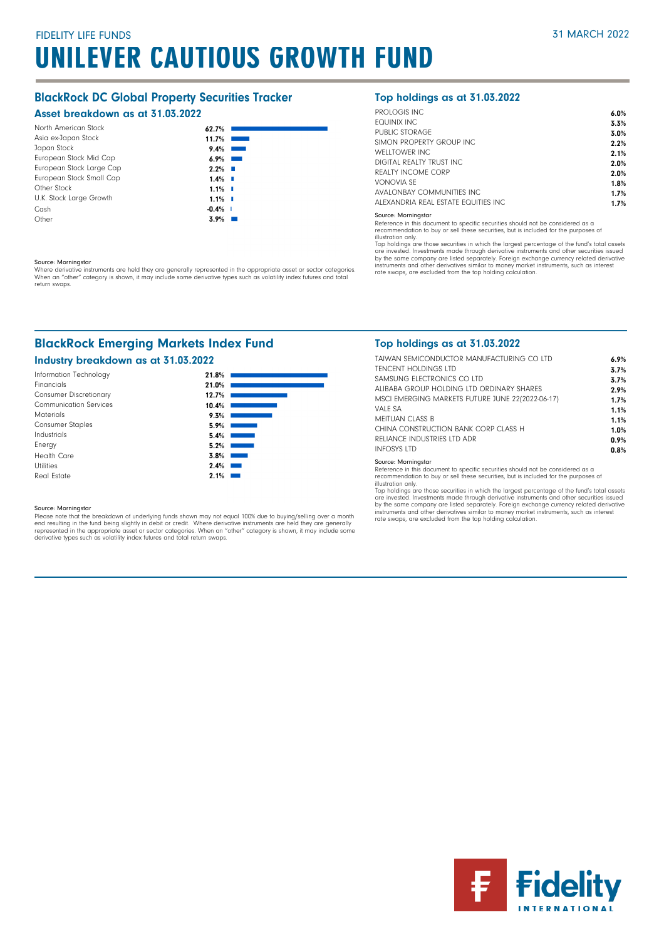## BlackRock DC Global Property Securities Tracker

## Asset breakdown as at 31.03.2022

| North American Stock<br>62.7%              |  |
|--------------------------------------------|--|
| Asia ex-Japan Stock<br>11.7%               |  |
| Japan Stock<br>9.4%                        |  |
| European Stock Mid Cap<br>6.9%             |  |
| European Stock Large Cap<br>2.2%           |  |
| European Stock Small Cap<br>$1.4\%$ $\Box$ |  |
| Other Stock<br>$1.1\%$ I                   |  |
| U.K. Stock Large Growth<br>$1.1\%$ I       |  |
| Cash<br>$-0.4%$                            |  |
| Other<br>3.9%                              |  |

#### Source: Morningstar

Where derivative instruments are held they are generally represented in the appropriate asset or sector categories.<br>When an "other" category is shown, it may include some derivative types such as volatility index futures a return swaps.

## BlackRock Emerging Markets Index Fund

## Industry breakdown as at 31.03.2022



Source: Morningstar<br>Please note that the breakdown of underlying funds shown may not equal 100% due to buying/selling over a month<br>end resulting in the fund being slightly in debit or credit. Where derivative instruments a

## Top holdings as at 31.03.2022

| PROLOGIS INC.                        | 6.0% |
|--------------------------------------|------|
| FOUINIX INC                          | 3.3% |
| PUBLIC STORAGE                       | 3.0% |
| SIMON PROPERTY GROUP INC.            | 2.2% |
| WFILTOWER INC.                       | 2.1% |
| DIGITAL REALTY TRUST INC.            | 2.0% |
| REALTY INCOME CORP                   | 2.0% |
| VONOVIA SF                           | 1.8% |
| AVALONBAY COMMUNITIES INC.           | 1.7% |
| ALEXANDRIA REAL ESTATE FOUITIES INC. | 1.7% |
|                                      |      |

#### Source: Morningstar

Reference in this document to specific securities should not be considered as a recommendation to buy or sell these securities, but is included for the purposes of

illustration only.

Top holdings are those securities in which the largest percentage of the fund's total assets are invested. Investments made through derivative instruments and other securities issued by the same company are listed separately. Foreign exchange currency related derivative<br>instruments and other derivatives similar to money market instruments, such as interest<br>rate swaps, are excluded from the top holding

## Top holdings as at 31.03.2022

| TAIWAN SEMICONDUCTOR MANUFACTURING CO LTD<br>TENCENT HOLDINGS LTD | 6.9%<br>3.7% |
|-------------------------------------------------------------------|--------------|
| SAMSUNG FLECTRONICS CO LTD                                        | 3.7%         |
| ALIBARA GROUP HOLDING LTD ORDINARY SHARES                         | 2.9%         |
| MSCI EMERGING MARKETS FUTURE JUNE 22(2022-06-17)                  | 1.7%         |
| VALF SA                                                           | 1.1%         |
| MFITUAN CLASS B                                                   | 1.1%         |
| CHINA CONSTRUCTION BANK CORP CLASS H                              | 1.0%         |
| RELIANCE INDUSTRIES LTD ADR                                       | 0.9%         |
| <b>INFOSYS LTD</b>                                                | 0.8%         |

#### Source: Morningstar

Reference in this document to specific securities should not be considered as a recommendation to buy or sell these securities, but is included for the purposes of illustration only.

Top holdings are those securities in which the largest percentage of the fund's total assets<br>are invested. Investments made through derivative instruments and other securities issued<br>by the same company are listed separate instruments and other derivatives similar to money market instruments, such as interest rate swaps, are excluded from the top holding calculation.